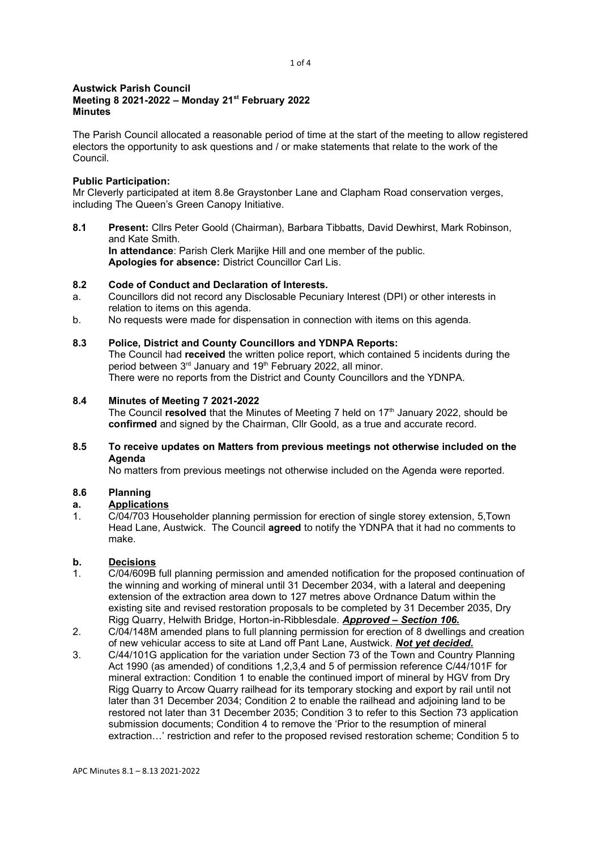#### 1 of 4

#### Austwick Parish Council Meeting 8 2021-2022 – Monday 21st February 2022 **Minutes**

The Parish Council allocated a reasonable period of time at the start of the meeting to allow registered electors the opportunity to ask questions and / or make statements that relate to the work of the Council.

## Public Participation:

Mr Cleverly participated at item 8.8e Graystonber Lane and Clapham Road conservation verges, including The Queen's Green Canopy Initiative.

8.1 Present: Cllrs Peter Goold (Chairman), Barbara Tibbatts, David Dewhirst, Mark Robinson, and Kate Smith. In attendance: Parish Clerk Marijke Hill and one member of the public.

Apologies for absence: District Councillor Carl Lis.

## 8.2 Code of Conduct and Declaration of Interests.

- a. Councillors did not record any Disclosable Pecuniary Interest (DPI) or other interests in relation to items on this agenda.
- b. No requests were made for dispensation in connection with items on this agenda.

## 8.3 Police, District and County Councillors and YDNPA Reports:

The Council had received the written police report, which contained 5 incidents during the period between 3<sup>rd</sup> January and 19<sup>th</sup> February 2022, all minor. There were no reports from the District and County Councillors and the YDNPA.

## 8.4 Minutes of Meeting 7 2021-2022

The Council resolved that the Minutes of Meeting 7 held on  $17<sup>th</sup>$  January 2022, should be confirmed and signed by the Chairman, Cllr Goold, as a true and accurate record.

## 8.5 To receive updates on Matters from previous meetings not otherwise included on the Agenda

No matters from previous meetings not otherwise included on the Agenda were reported.

## 8.6 Planning

# a. Applications

1. C/04/703 Householder planning permission for erection of single storey extension, 5,Town Head Lane, Austwick. The Council agreed to notify the YDNPA that it had no comments to make.

## b. Decisions

- 1. C/04/609B full planning permission and amended notification for the proposed continuation of the winning and working of mineral until 31 December 2034, with a lateral and deepening extension of the extraction area down to 127 metres above Ordnance Datum within the existing site and revised restoration proposals to be completed by 31 December 2035, Dry Rigg Quarry, Helwith Bridge, Horton-in-Ribblesdale. **Approved - Section 106.**
- 2. C/04/148M amended plans to full planning permission for erection of 8 dwellings and creation of new vehicular access to site at Land off Pant Lane, Austwick. Not yet decided.
- 3. C/44/101G application for the variation under Section 73 of the Town and Country Planning Act 1990 (as amended) of conditions 1,2,3,4 and 5 of permission reference C/44/101F for mineral extraction: Condition 1 to enable the continued import of mineral by HGV from Dry Rigg Quarry to Arcow Quarry railhead for its temporary stocking and export by rail until not later than 31 December 2034; Condition 2 to enable the railhead and adjoining land to be restored not later than 31 December 2035; Condition 3 to refer to this Section 73 application submission documents; Condition 4 to remove the 'Prior to the resumption of mineral extraction…' restriction and refer to the proposed revised restoration scheme; Condition 5 to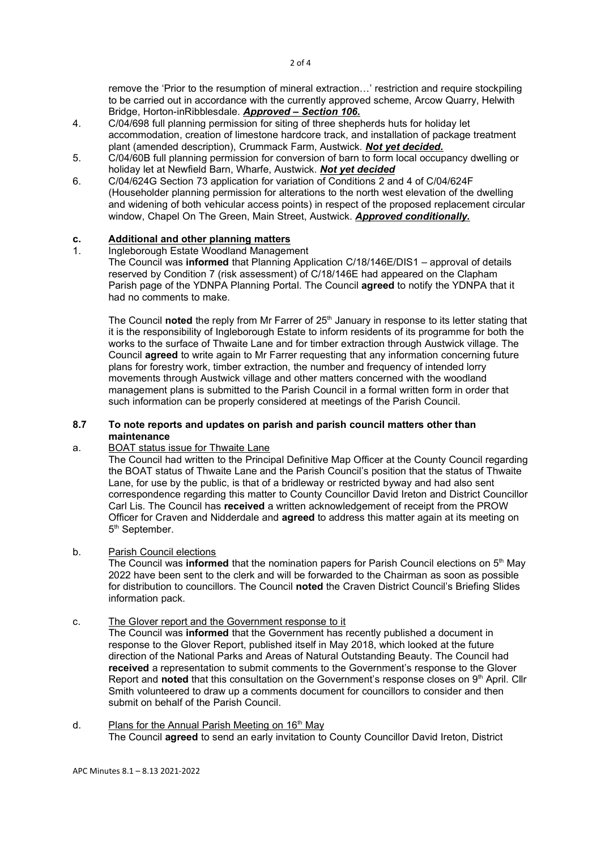remove the 'Prior to the resumption of mineral extraction…' restriction and require stockpiling to be carried out in accordance with the currently approved scheme, Arcow Quarry, Helwith Bridge, Horton-inRibblesdale. Approved – Section 106.

- 4. C/04/698 full planning permission for siting of three shepherds huts for holiday let accommodation, creation of limestone hardcore track, and installation of package treatment plant (amended description), Crummack Farm, Austwick. Not yet decided.
- 5. C/04/60B full planning permission for conversion of barn to form local occupancy dwelling or holiday let at Newfield Barn, Wharfe, Austwick. Not yet decided
- 6. C/04/624G Section 73 application for variation of Conditions 2 and 4 of C/04/624F (Householder planning permission for alterations to the north west elevation of the dwelling and widening of both vehicular access points) in respect of the proposed replacement circular window, Chapel On The Green, Main Street, Austwick. Approved conditionally.

# c. Additional and other planning matters<br>1 Ingleborough Estate Woodland Managem

1. Ingleborough Estate Woodland Management The Council was informed that Planning Application C/18/146E/DIS1 – approval of details reserved by Condition 7 (risk assessment) of C/18/146E had appeared on the Clapham Parish page of the YDNPA Planning Portal. The Council agreed to notify the YDNPA that it had no comments to make.

The Council noted the reply from Mr Farrer of 25<sup>th</sup> January in response to its letter stating that it is the responsibility of Ingleborough Estate to inform residents of its programme for both the works to the surface of Thwaite Lane and for timber extraction through Austwick village. The Council agreed to write again to Mr Farrer requesting that any information concerning future plans for forestry work, timber extraction, the number and frequency of intended lorry movements through Austwick village and other matters concerned with the woodland management plans is submitted to the Parish Council in a formal written form in order that such information can be properly considered at meetings of the Parish Council.

### 8.7 To note reports and updates on parish and parish council matters other than maintenance

## a. BOAT status issue for Thwaite Lane

The Council had written to the Principal Definitive Map Officer at the County Council regarding the BOAT status of Thwaite Lane and the Parish Council's position that the status of Thwaite Lane, for use by the public, is that of a bridleway or restricted byway and had also sent correspondence regarding this matter to County Councillor David Ireton and District Councillor Carl Lis. The Council has received a written acknowledgement of receipt from the PROW Officer for Craven and Nidderdale and agreed to address this matter again at its meeting on 5<sup>th</sup> September.

#### b. Parish Council elections

The Council was **informed** that the nomination papers for Parish Council elections on  $5<sup>th</sup>$  May 2022 have been sent to the clerk and will be forwarded to the Chairman as soon as possible for distribution to councillors. The Council noted the Craven District Council's Briefing Slides information pack.

## c. The Glover report and the Government response to it

The Council was informed that the Government has recently published a document in response to the Glover Report, published itself in May 2018, which looked at the future direction of the National Parks and Areas of Natural Outstanding Beauty. The Council had received a representation to submit comments to the Government's response to the Glover Report and noted that this consultation on the Government's response closes on 9<sup>th</sup> April. Cllr Smith volunteered to draw up a comments document for councillors to consider and then submit on behalf of the Parish Council.

d. Plans for the Annual Parish Meeting on 16<sup>th</sup> May The Council agreed to send an early invitation to County Councillor David Ireton, District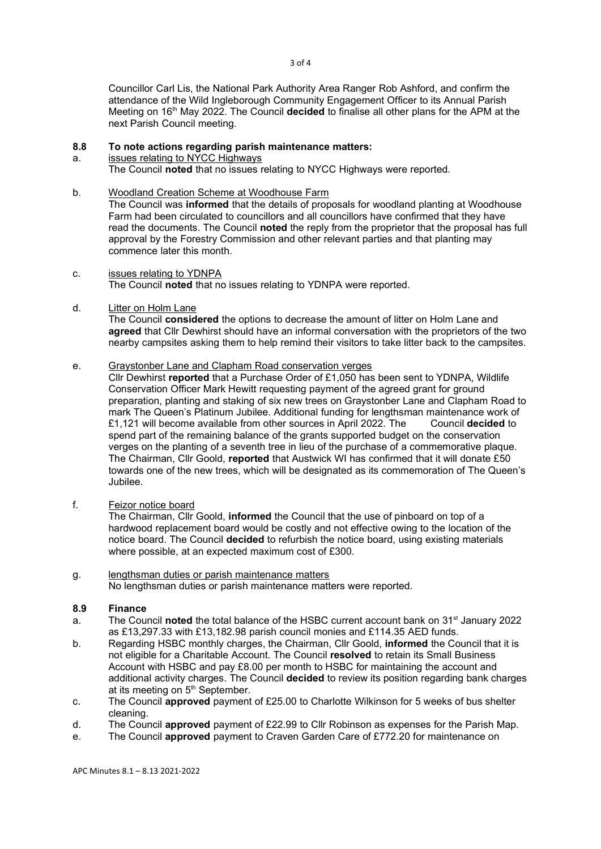Councillor Carl Lis, the National Park Authority Area Ranger Rob Ashford, and confirm the attendance of the Wild Ingleborough Community Engagement Officer to its Annual Parish Meeting on  $16<sup>th</sup>$  May 2022. The Council decided to finalise all other plans for the APM at the next Parish Council meeting.

#### 8.8 To note actions regarding parish maintenance matters:

a. issues relating to NYCC Highways

The Council noted that no issues relating to NYCC Highways were reported.

b. Woodland Creation Scheme at Woodhouse Farm

The Council was informed that the details of proposals for woodland planting at Woodhouse Farm had been circulated to councillors and all councillors have confirmed that they have read the documents. The Council noted the reply from the proprietor that the proposal has full approval by the Forestry Commission and other relevant parties and that planting may commence later this month.

- c. issues relating to YDNPA The Council noted that no issues relating to YDNPA were reported.
- d. Litter on Holm Lane

The Council considered the options to decrease the amount of litter on Holm Lane and agreed that Cllr Dewhirst should have an informal conversation with the proprietors of the two nearby campsites asking them to help remind their visitors to take litter back to the campsites.

#### e. Graystonber Lane and Clapham Road conservation verges

Cllr Dewhirst reported that a Purchase Order of £1,050 has been sent to YDNPA, Wildlife Conservation Officer Mark Hewitt requesting payment of the agreed grant for ground preparation, planting and staking of six new trees on Graystonber Lane and Clapham Road to mark The Queen's Platinum Jubilee. Additional funding for lengthsman maintenance work of £1,121 will become available from other sources in April 2022. The Council decided to spend part of the remaining balance of the grants supported budget on the conservation verges on the planting of a seventh tree in lieu of the purchase of a commemorative plaque. The Chairman, Cllr Goold, reported that Austwick WI has confirmed that it will donate £50 towards one of the new trees, which will be designated as its commemoration of The Queen's Jubilee.

f. Feizor notice board

The Chairman, Cllr Goold, informed the Council that the use of pinboard on top of a hardwood replacement board would be costly and not effective owing to the location of the notice board. The Council decided to refurbish the notice board, using existing materials where possible, at an expected maximum cost of £300.

g. lengthsman duties or parish maintenance matters No lengthsman duties or parish maintenance matters were reported.

## 8.9 Finance

- a. The Council noted the total balance of the HSBC current account bank on  $31<sup>st</sup>$  January 2022 as £13,297.33 with £13,182.98 parish council monies and £114.35 AED funds.
- b. Regarding HSBC monthly charges, the Chairman, Cllr Goold, **informed** the Council that it is not eligible for a Charitable Account. The Council resolved to retain its Small Business Account with HSBC and pay £8.00 per month to HSBC for maintaining the account and additional activity charges. The Council decided to review its position regarding bank charges at its meeting on  $5<sup>th</sup>$  September.
- c. The Council approved payment of £25.00 to Charlotte Wilkinson for 5 weeks of bus shelter cleaning.
- d. The Council approved payment of £22.99 to Cllr Robinson as expenses for the Parish Map.
- e. The Council approved payment to Craven Garden Care of £772.20 for maintenance on